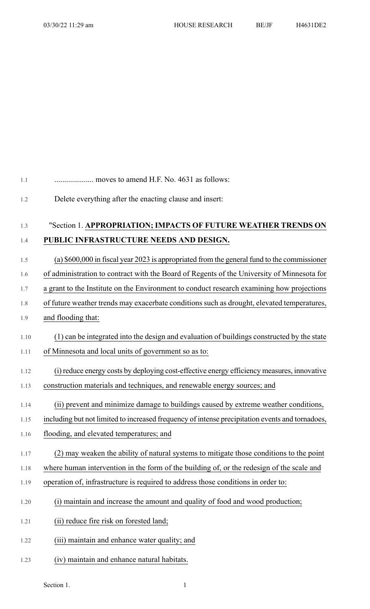## 1.1 .................... moves to amend H.F. No. 4631 as follows:

1.2 Delete everything after the enacting clause and insert:

# 1.3 "Section 1. **APPROPRIATION; IMPACTS OF FUTURE WEATHER TRENDS ON** 1.4 **PUBLIC INFRASTRUCTURE NEEDS AND DESIGN.**

## 1.5 (a) \$600,000 in fiscal year 2023 is appropriated from the general fund to the commissioner

1.6 of administration to contract with the Board of Regents of the University of Minnesota for

- 1.7 a grant to the Institute on the Environment to conduct research examining how projections
- 1.8 of future weather trends may exacerbate conditions such as drought, elevated temperatures,

### 1.9 and flooding that:

# 1.10 (1) can be integrated into the design and evaluation of buildings constructed by the state 1.11 of Minnesota and local units of government so as to:

### 1.12 (i) reduce energy costs by deploying cost-effective energy efficiency measures, innovative

# 1.13 construction materials and techniques, and renewable energy sources; and

# 1.14 (ii) prevent and minimize damage to buildings caused by extreme weather conditions,

- 1.15 including but not limited to increased frequency of intense precipitation events and tornadoes,
- 1.16 flooding, and elevated temperatures; and

# 1.17 (2) may weaken the ability of natural systems to mitigate those conditions to the point

1.18 where human intervention in the form of the building of, or the redesign of the scale and

- 1.19 operation of, infrastructure is required to address those conditions in order to:
- 1.20 (i) maintain and increase the amount and quality of food and wood production;
- 1.21 (ii) reduce fire risk on forested land;
- 1.22 (iii) maintain and enhance water quality; and
- 1.23 (iv) maintain and enhance natural habitats.